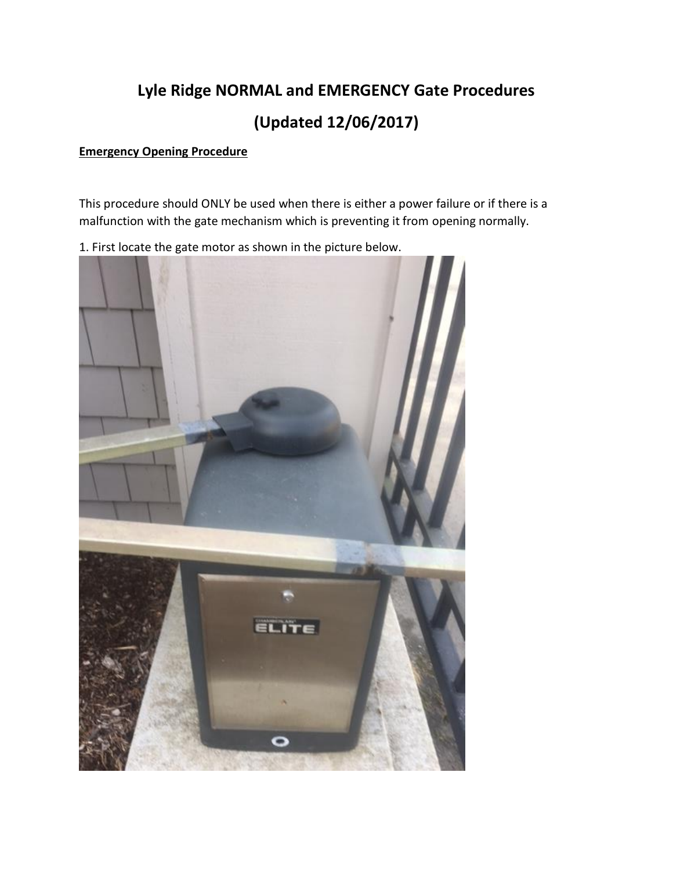## **Lyle Ridge NORMAL and EMERGENCY Gate Procedures (Updated 12/06/2017)**

## **Emergency Opening Procedure**

This procedure should ONLY be used when there is either a power failure or if there is a malfunction with the gate mechanism which is preventing it from opening normally.

1. First locate the gate motor as shown in the picture below.

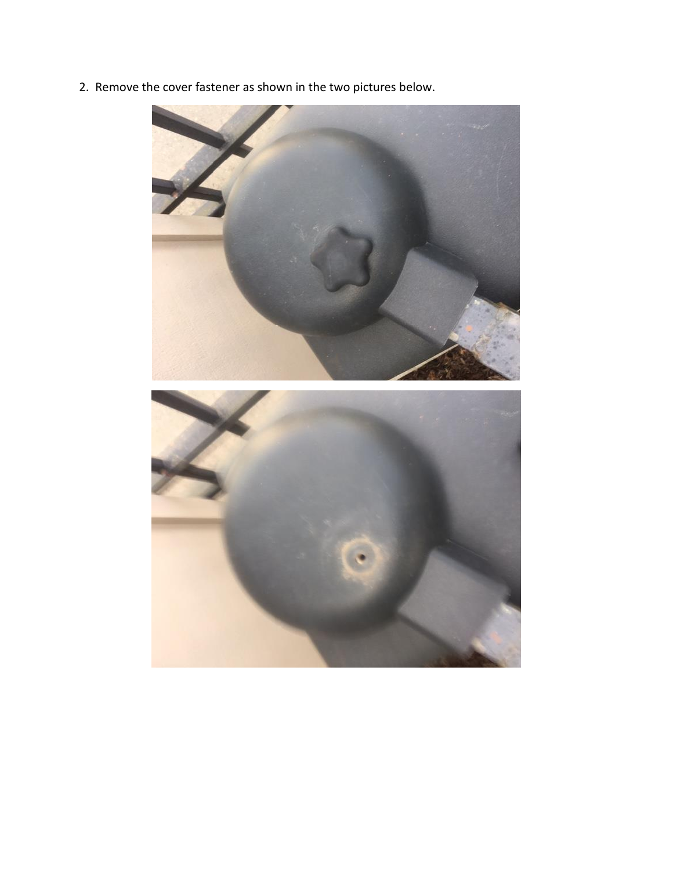2. Remove the cover fastener as shown in the two pictures below.

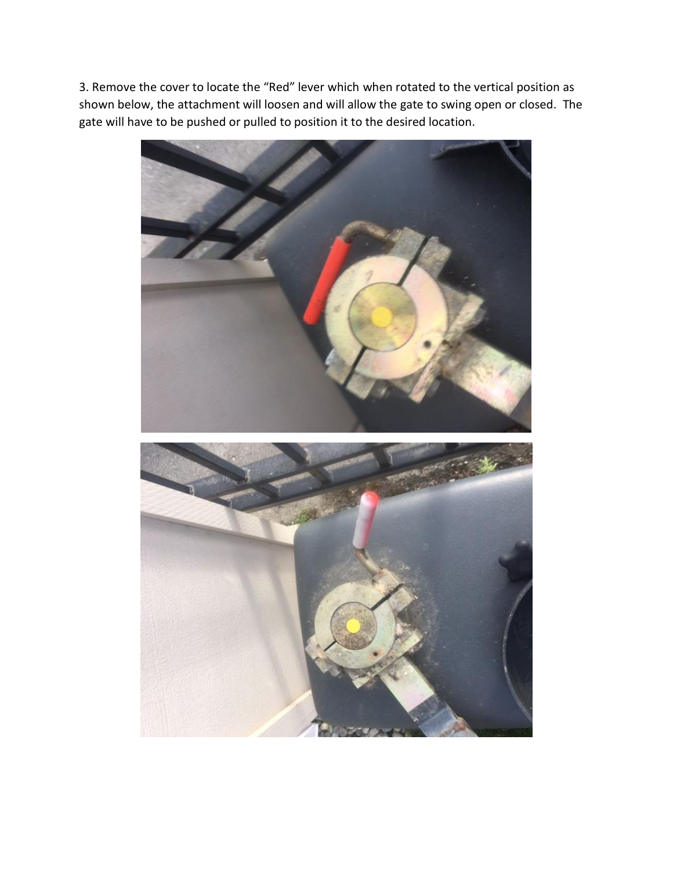3. Remove the cover to locate the "Red" lever which when rotated to the vertical position as shown below, the attachment will loosen and will allow the gate to swing open or closed. The gate will have to be pushed or pulled to position it to the desired location.

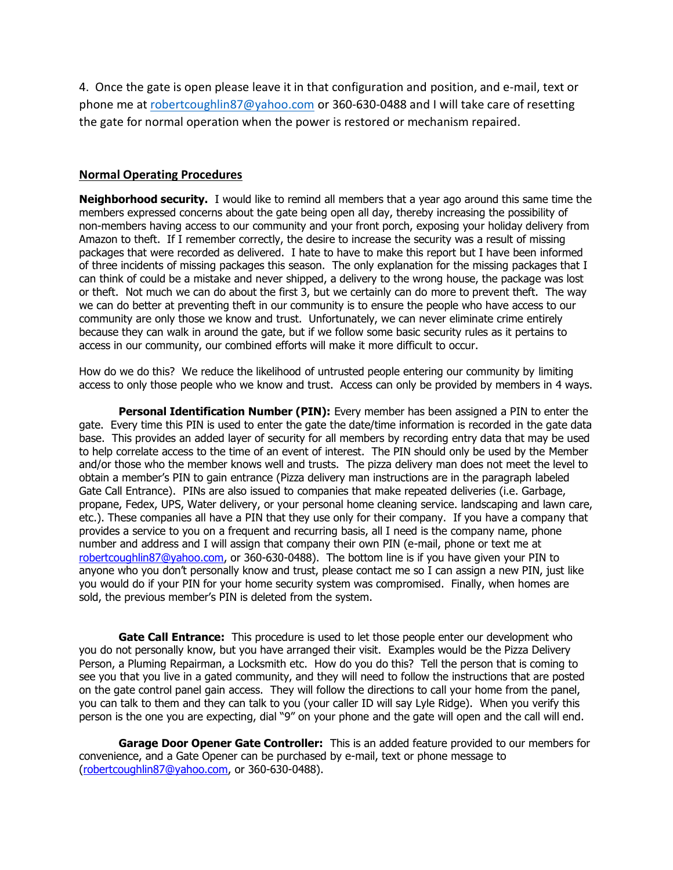4. Once the gate is open please leave it in that configuration and position, and e-mail, text or phone me a[t robertcoughlin87@yahoo.com](mailto:robertcoughlin87@yahoo.com) or 360-630-0488 and I will take care of resetting the gate for normal operation when the power is restored or mechanism repaired.

## **Normal Operating Procedures**

**Neighborhood security.** I would like to remind all members that a year ago around this same time the members expressed concerns about the gate being open all day, thereby increasing the possibility of non-members having access to our community and your front porch, exposing your holiday delivery from Amazon to theft. If I remember correctly, the desire to increase the security was a result of missing packages that were recorded as delivered. I hate to have to make this report but I have been informed of three incidents of missing packages this season. The only explanation for the missing packages that I can think of could be a mistake and never shipped, a delivery to the wrong house, the package was lost or theft. Not much we can do about the first 3, but we certainly can do more to prevent theft. The way we can do better at preventing theft in our community is to ensure the people who have access to our community are only those we know and trust. Unfortunately, we can never eliminate crime entirely because they can walk in around the gate, but if we follow some basic security rules as it pertains to access in our community, our combined efforts will make it more difficult to occur.

How do we do this? We reduce the likelihood of untrusted people entering our community by limiting access to only those people who we know and trust. Access can only be provided by members in 4 ways.

**Personal Identification Number (PIN):** Every member has been assigned a PIN to enter the gate. Every time this PIN is used to enter the gate the date/time information is recorded in the gate data base. This provides an added layer of security for all members by recording entry data that may be used to help correlate access to the time of an event of interest. The PIN should only be used by the Member and/or those who the member knows well and trusts. The pizza delivery man does not meet the level to obtain a member's PIN to gain entrance (Pizza delivery man instructions are in the paragraph labeled Gate Call Entrance). PINs are also issued to companies that make repeated deliveries (i.e. Garbage, propane, Fedex, UPS, Water delivery, or your personal home cleaning service. landscaping and lawn care, etc.). These companies all have a PIN that they use only for their company. If you have a company that provides a service to you on a frequent and recurring basis, all I need is the company name, phone number and address and I will assign that company their own PIN (e-mail, phone or text me at [robertcoughlin87@yahoo.com,](mailto:robertcoughlin87@yahoo.com) or 360-630-0488). The bottom line is if you have given your PIN to anyone who you don't personally know and trust, please contact me so I can assign a new PIN, just like you would do if your PIN for your home security system was compromised. Finally, when homes are sold, the previous member's PIN is deleted from the system.

**Gate Call Entrance:** This procedure is used to let those people enter our development who you do not personally know, but you have arranged their visit. Examples would be the Pizza Delivery Person, a Pluming Repairman, a Locksmith etc. How do you do this? Tell the person that is coming to see you that you live in a gated community, and they will need to follow the instructions that are posted on the gate control panel gain access. They will follow the directions to call your home from the panel, you can talk to them and they can talk to you (your caller ID will say Lyle Ridge). When you verify this person is the one you are expecting, dial "9" on your phone and the gate will open and the call will end.

**Garage Door Opener Gate Controller:** This is an added feature provided to our members for convenience, and a Gate Opener can be purchased by e-mail, text or phone message to [\(robertcoughlin87@yahoo.com,](mailto:robertcoughlin87@yahoo.com) or 360-630-0488).